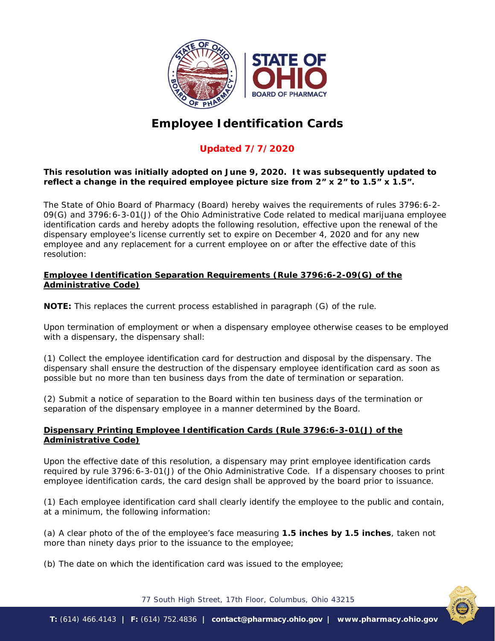

# **Employee Identification Cards**

# **Updated 7/7/2020**

## *This resolution was initially adopted on June 9, 2020. It was subsequently updated to reflect a change in the required employee picture size from 2" x 2" to 1.5" x 1.5".*

The State of Ohio Board of Pharmacy (Board) hereby waives the requirements of rules 3796:6-2-09(G) and 3796:6-3-01(J) of the Ohio Administrative Code related to medical marijuana employee identification cards and hereby adopts the following resolution, effective upon the renewal of the dispensary employee's license currently set to expire on December 4, 2020 and for any new employee and any replacement for a current employee on or after the effective date of this resolution:

#### **Employee Identification Separation Requirements (Rule 3796:6-2-09(G) of the Administrative Code)**

*NOTE: This replaces the current process established in paragraph (G) of the rule.* 

Upon termination of employment or when a dispensary employee otherwise ceases to be employed with a dispensary, the dispensary shall:

(1) Collect the employee identification card for destruction and disposal by the dispensary. The dispensary shall ensure the destruction of the dispensary employee identification card as soon as possible but no more than ten business days from the date of termination or separation.

(2) Submit a notice of separation to the Board within ten business days of the termination or separation of the dispensary employee in a manner determined by the Board.

### **Dispensary Printing Employee Identification Cards (Rule 3796:6-3-01(J) of the Administrative Code)**

Upon the effective date of this resolution, a dispensary may print employee identification cards required by rule 3796:6-3-01(J) of the Ohio Administrative Code. If a dispensary chooses to print employee identification cards, the card design shall be approved by the board prior to issuance.

(1) Each employee identification card shall clearly identify the employee to the public and contain, at a minimum, the following information:

(a) A clear photo of the of the employee's face measuring **1.5 inches by 1.5 inches**, taken not more than ninety days prior to the issuance to the employee;

(b) The date on which the identification card was issued to the employee;

77 South High Street, 17th Floor, Columbus, Ohio 43215